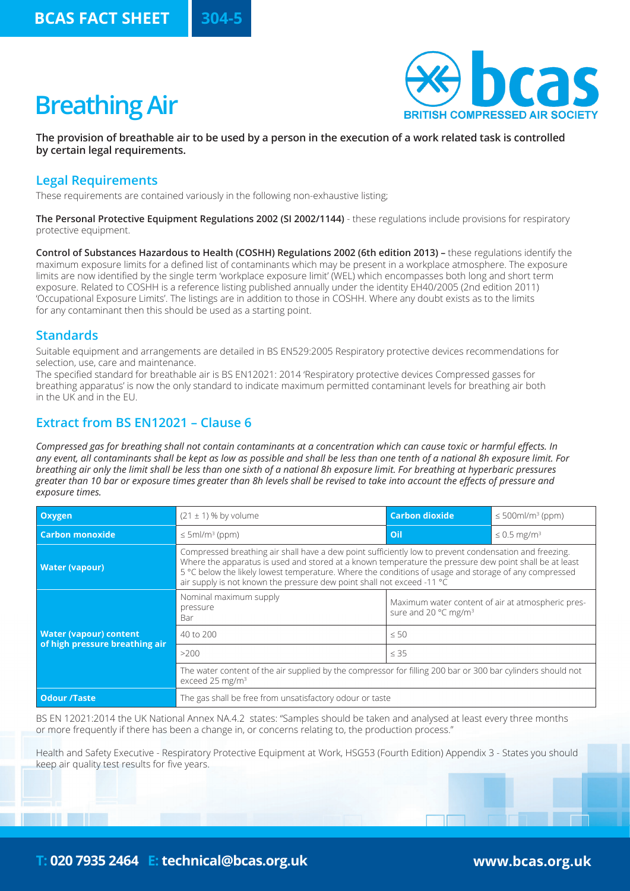**BCAS FACT SHEET 304-5**

# **Breathing Air**



**The provision of breathable air to be used by a person in the execution of a work related task is controlled by certain legal requirements.**

# **Legal Requirements**

These requirements are contained variously in the following non-exhaustive listing;

**The Personal Protective Equipment Regulations 2002 (SI 2002/1144)** - these regulations include provisions for respiratory protective equipment.

**Control of Substances Hazardous to Health (COSHH) Regulations 2002 (6th edition 2013) – these regulations identify the** maximum exposure limits for a defined list of contaminants which may be present in a workplace atmosphere. The exposure limits are now identified by the single term 'workplace exposure limit' (WEL) which encompasses both long and short term exposure. Related to COSHH is a reference listing published annually under the identity EH40/2005 (2nd edition 2011) 'Occupational Exposure Limits'. The listings are in addition to those in COSHH. Where any doubt exists as to the limits for any contaminant then this should be used as a starting point.

### **Standards**

Suitable equipment and arrangements are detailed in BS EN529:2005 Respiratory protective devices recommendations for selection, use, care and maintenance.

The specified standard for breathable air is BS EN12021: 2014 'Respiratory protective devices Compressed gasses for breathing apparatus' is now the only standard to indicate maximum permitted contaminant levels for breathing air both in the UK and in the EU.

# **Extract from BS EN12021 – Clause 6**

*Compressed gas for breathing shall not contain contaminants at a concentration which can cause toxic or harmful effects. In any event, all contaminants shall be kept as low as possible and shall be less than one tenth of a national 8h exposure limit. For breathing air only the limit shall be less than one sixth of a national 8h exposure limit. For breathing at hyperbaric pressures greater than 10 bar or exposure times greater than 8h levels shall be revised to take into account the effects of pressure and exposure times.*

| Oxygen                                                          | $(21 \pm 1)$ % by volume                                                                                                                                                                                                                                                                                                                                                                            | <b>Carbon dioxide</b>                                                                 | $\leq$ 500ml/m <sup>3</sup> (ppm) |
|-----------------------------------------------------------------|-----------------------------------------------------------------------------------------------------------------------------------------------------------------------------------------------------------------------------------------------------------------------------------------------------------------------------------------------------------------------------------------------------|---------------------------------------------------------------------------------------|-----------------------------------|
| <b>Carbon monoxide</b>                                          | $\leq$ 5ml/m <sup>3</sup> (ppm)                                                                                                                                                                                                                                                                                                                                                                     | Oil                                                                                   | $\leq$ 0.5 mg/m <sup>3</sup>      |
| <b>Water (vapour)</b>                                           | Compressed breathing air shall have a dew point sufficiently low to prevent condensation and freezing.<br>Where the apparatus is used and stored at a known temperature the pressure dew point shall be at least<br>5 °C below the likely lowest temperature. Where the conditions of usage and storage of any compressed<br>air supply is not known the pressure dew point shall not exceed -11 °C |                                                                                       |                                   |
| <b>Water (vapour) content</b><br>of high pressure breathing air | Nominal maximum supply<br>pressure<br>Bar                                                                                                                                                                                                                                                                                                                                                           | Maximum water content of air at atmospheric pres-<br>sure and 20 °C mg/m <sup>3</sup> |                                   |
|                                                                 | 40 to 200                                                                                                                                                                                                                                                                                                                                                                                           | $\leq 50$                                                                             |                                   |
|                                                                 | >200                                                                                                                                                                                                                                                                                                                                                                                                | $\leq$ 35                                                                             |                                   |
|                                                                 | The water content of the air supplied by the compressor for filling 200 bar or 300 bar cylinders should not<br>exceed 25 mg/m <sup>3</sup>                                                                                                                                                                                                                                                          |                                                                                       |                                   |
| <b>Odour /Taste</b>                                             | The gas shall be free from unsatisfactory odour or taste                                                                                                                                                                                                                                                                                                                                            |                                                                                       |                                   |

BS EN 12021:2014 the UK National Annex NA.4.2 states: "Samples should be taken and analysed at least every three months or more frequently if there has been a change in, or concerns relating to, the production process."

Health and Safety Executive - Respiratory Protective Equipment at Work, HSG53 (Fourth Edition) Appendix 3 - States you should keep air quality test results for five years.